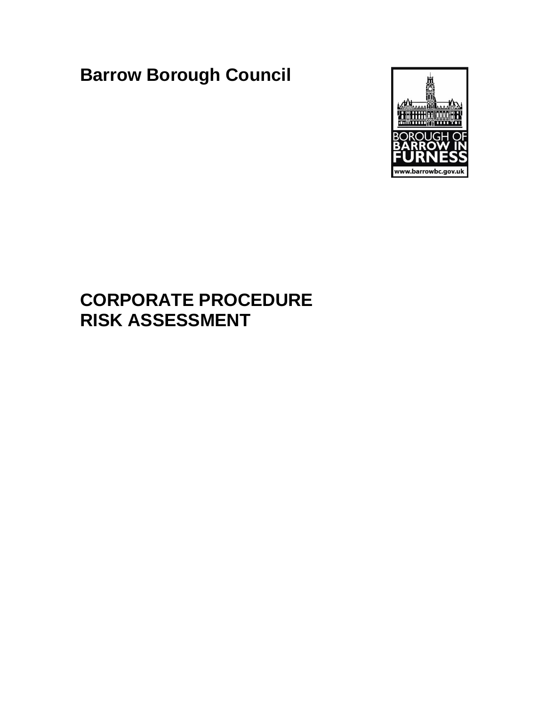**Barrow Borough Council**



# **CORPORATE PROCEDURE RISK ASSESSMENT**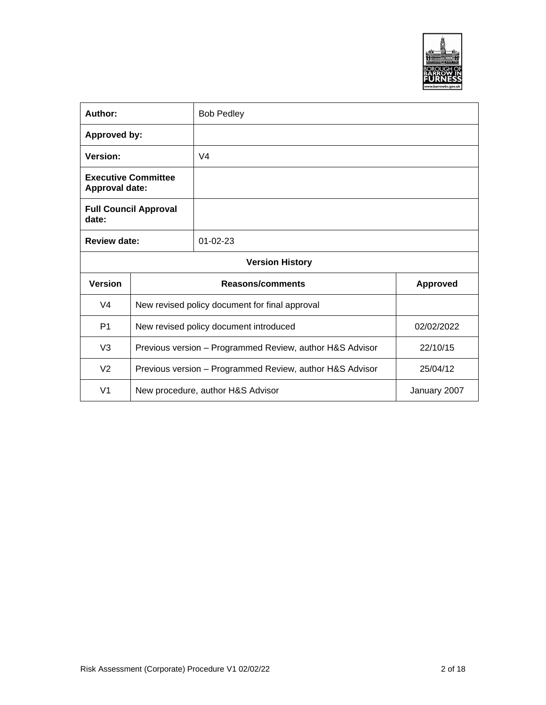

| Author:<br><b>Bob Pedley</b>                        |                                                                      |                |            |
|-----------------------------------------------------|----------------------------------------------------------------------|----------------|------------|
| <b>Approved by:</b>                                 |                                                                      |                |            |
| Version:                                            |                                                                      | V <sub>4</sub> |            |
| <b>Executive Committee</b><br><b>Approval date:</b> |                                                                      |                |            |
| date:                                               | <b>Full Council Approval</b>                                         |                |            |
|                                                     | Review date:<br>$01 - 02 - 23$                                       |                |            |
| <b>Version History</b>                              |                                                                      |                |            |
| <b>Version</b>                                      | Reasons/comments<br><b>Approved</b>                                  |                |            |
| V <sub>4</sub>                                      | New revised policy document for final approval                       |                |            |
| P <sub>1</sub>                                      | New revised policy document introduced                               |                | 02/02/2022 |
| V <sub>3</sub>                                      | 22/10/15<br>Previous version - Programmed Review, author H&S Advisor |                |            |
| V <sub>2</sub>                                      | Previous version - Programmed Review, author H&S Advisor             |                | 25/04/12   |
| V <sub>1</sub>                                      | New procedure, author H&S Advisor<br>January 2007                    |                |            |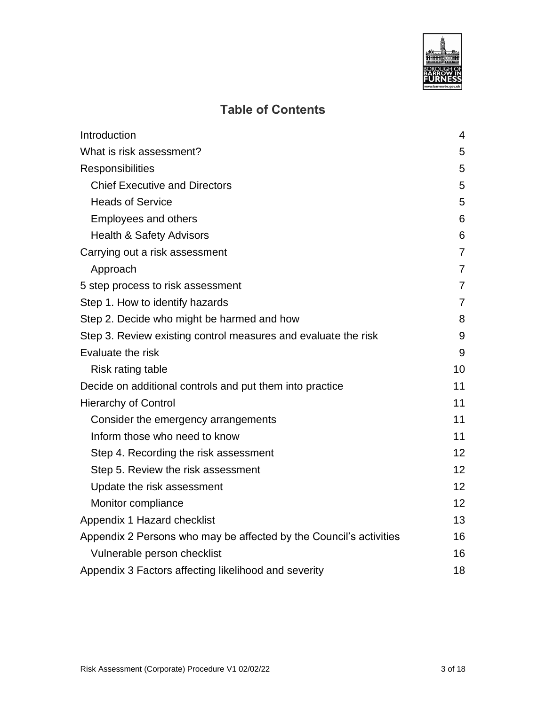

# **Table of Contents**

| Introduction                                                       | 4               |
|--------------------------------------------------------------------|-----------------|
| What is risk assessment?                                           | 5               |
| <b>Responsibilities</b>                                            | 5               |
| <b>Chief Executive and Directors</b>                               | 5               |
| <b>Heads of Service</b>                                            | 5               |
| <b>Employees and others</b>                                        | 6               |
| <b>Health &amp; Safety Advisors</b>                                | 6               |
| Carrying out a risk assessment                                     | $\overline{7}$  |
| Approach                                                           | $\overline{7}$  |
| 5 step process to risk assessment                                  | 7               |
| Step 1. How to identify hazards                                    | $\overline{7}$  |
| Step 2. Decide who might be harmed and how                         | 8               |
| Step 3. Review existing control measures and evaluate the risk     | 9               |
| Evaluate the risk                                                  | 9               |
| Risk rating table                                                  | 10              |
| Decide on additional controls and put them into practice           | 11              |
| <b>Hierarchy of Control</b>                                        | 11              |
| Consider the emergency arrangements                                | 11              |
| Inform those who need to know                                      | 11              |
| Step 4. Recording the risk assessment                              | 12              |
| Step 5. Review the risk assessment                                 | 12 <sup>2</sup> |
| Update the risk assessment                                         | 12              |
| Monitor compliance                                                 | 12 <sup>2</sup> |
| Appendix 1 Hazard checklist                                        | 13              |
| Appendix 2 Persons who may be affected by the Council's activities | 16              |
| Vulnerable person checklist                                        | 16              |
| Appendix 3 Factors affecting likelihood and severity               | 18              |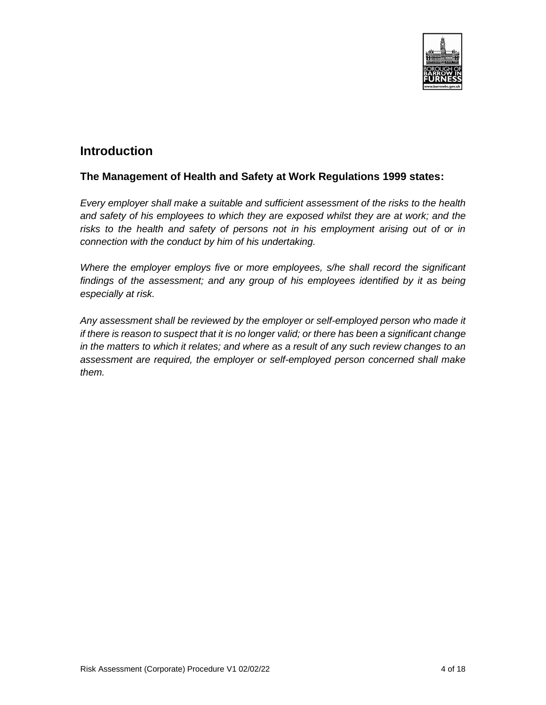

### <span id="page-3-0"></span>**Introduction**

#### **The Management of Health and Safety at Work Regulations 1999 states:**

*Every employer shall make a suitable and sufficient assessment of the risks to the health and safety of his employees to which they are exposed whilst they are at work; and the*  risks to the health and safety of persons not in his employment arising out of or in *connection with the conduct by him of his undertaking.*

*Where the employer employs five or more employees, s/he shall record the significant findings of the assessment; and any group of his employees identified by it as being especially at risk.*

*Any assessment shall be reviewed by the employer or self-employed person who made it if there is reason to suspect that it is no longer valid; or there has been a significant change in the matters to which it relates; and where as a result of any such review changes to an assessment are required, the employer or self-employed person concerned shall make them.*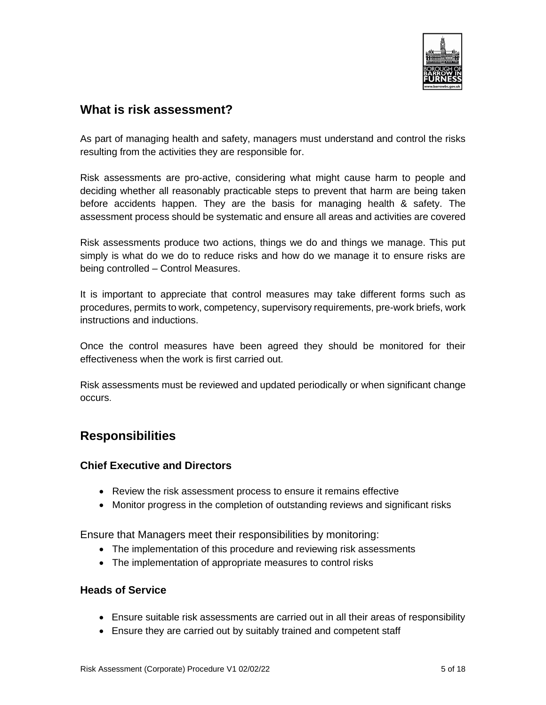

### <span id="page-4-0"></span>**What is risk assessment?**

As part of managing health and safety, managers must understand and control the risks resulting from the activities they are responsible for.

Risk assessments are pro-active, considering what might cause harm to people and deciding whether all reasonably practicable steps to prevent that harm are being taken before accidents happen. They are the basis for managing health & safety. The assessment process should be systematic and ensure all areas and activities are covered

Risk assessments produce two actions, things we do and things we manage. This put simply is what do we do to reduce risks and how do we manage it to ensure risks are being controlled – Control Measures.

It is important to appreciate that control measures may take different forms such as procedures, permits to work, competency, supervisory requirements, pre-work briefs, work instructions and inductions.

Once the control measures have been agreed they should be monitored for their effectiveness when the work is first carried out.

Risk assessments must be reviewed and updated periodically or when significant change occurs.

### <span id="page-4-1"></span>**Responsibilities**

#### <span id="page-4-2"></span>**Chief Executive and Directors**

- Review the risk assessment process to ensure it remains effective
- Monitor progress in the completion of outstanding reviews and significant risks

Ensure that Managers meet their responsibilities by monitoring:

- The implementation of this procedure and reviewing risk assessments
- The implementation of appropriate measures to control risks

#### <span id="page-4-3"></span>**Heads of Service**

- Ensure suitable risk assessments are carried out in all their areas of responsibility
- Ensure they are carried out by suitably trained and competent staff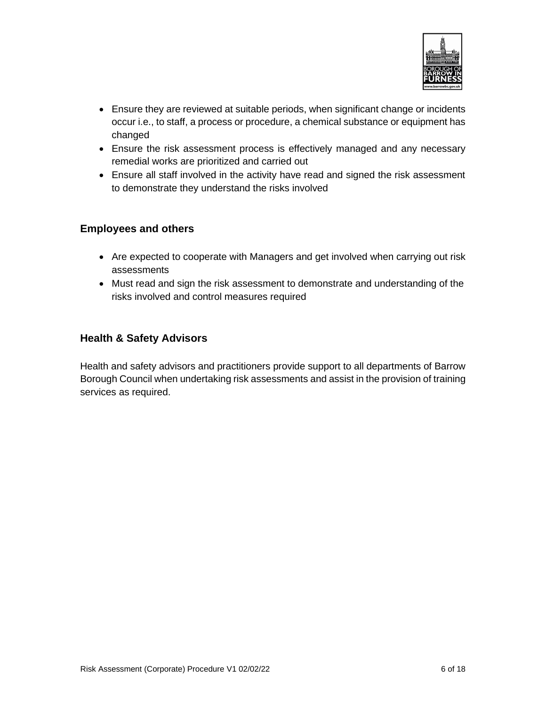

- Ensure they are reviewed at suitable periods, when significant change or incidents occur i.e., to staff, a process or procedure, a chemical substance or equipment has changed
- Ensure the risk assessment process is effectively managed and any necessary remedial works are prioritized and carried out
- Ensure all staff involved in the activity have read and signed the risk assessment to demonstrate they understand the risks involved

#### <span id="page-5-0"></span>**Employees and others**

- Are expected to cooperate with Managers and get involved when carrying out risk assessments
- Must read and sign the risk assessment to demonstrate and understanding of the risks involved and control measures required

#### <span id="page-5-1"></span>**Health & Safety Advisors**

Health and safety advisors and practitioners provide support to all departments of Barrow Borough Council when undertaking risk assessments and assist in the provision of training services as required.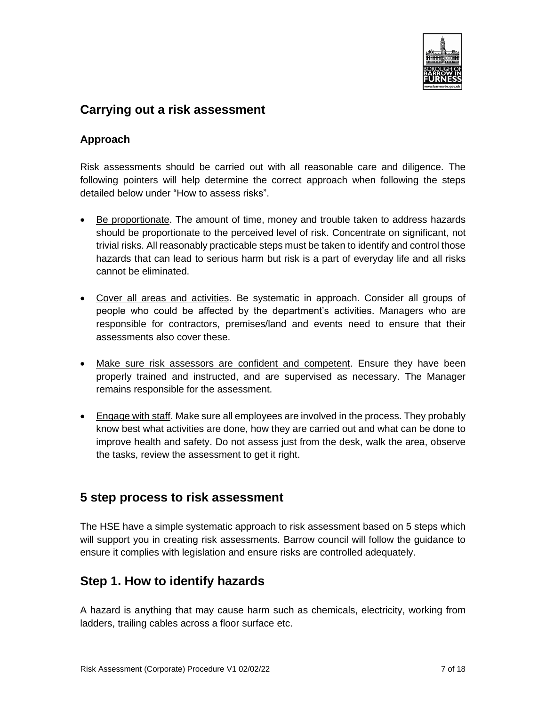

### <span id="page-6-0"></span>**Carrying out a risk assessment**

#### <span id="page-6-1"></span>**Approach**

Risk assessments should be carried out with all reasonable care and diligence. The following pointers will help determine the correct approach when following the steps detailed below under "How to assess risks".

- Be proportionate. The amount of time, money and trouble taken to address hazards should be proportionate to the perceived level of risk. Concentrate on significant, not trivial risks. All reasonably practicable steps must be taken to identify and control those hazards that can lead to serious harm but risk is a part of everyday life and all risks cannot be eliminated.
- Cover all areas and activities. Be systematic in approach. Consider all groups of people who could be affected by the department's activities. Managers who are responsible for contractors, premises/land and events need to ensure that their assessments also cover these.
- Make sure risk assessors are confident and competent. Ensure they have been properly trained and instructed, and are supervised as necessary. The Manager remains responsible for the assessment.
- Engage with staff. Make sure all employees are involved in the process. They probably know best what activities are done, how they are carried out and what can be done to improve health and safety. Do not assess just from the desk, walk the area, observe the tasks, review the assessment to get it right.

### <span id="page-6-2"></span>**5 step process to risk assessment**

The HSE have a simple systematic approach to risk assessment based on 5 steps which will support you in creating risk assessments. Barrow council will follow the guidance to ensure it complies with legislation and ensure risks are controlled adequately.

### <span id="page-6-3"></span>**Step 1. How to identify hazards**

A hazard is anything that may cause harm such as chemicals, electricity, working from ladders, trailing cables across a floor surface etc.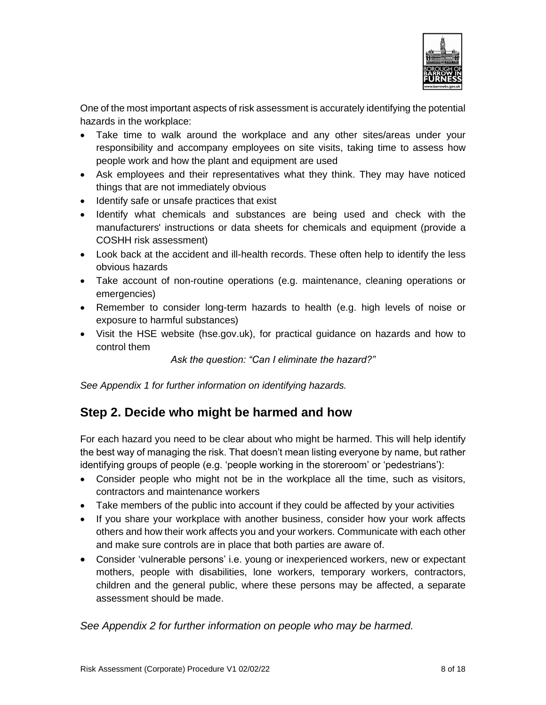

One of the most important aspects of risk assessment is accurately identifying the potential hazards in the workplace:

- Take time to walk around the workplace and any other sites/areas under your responsibility and accompany employees on site visits, taking time to assess how people work and how the plant and equipment are used
- Ask employees and their representatives what they think. They may have noticed things that are not immediately obvious
- Identify safe or unsafe practices that exist
- Identify what chemicals and substances are being used and check with the manufacturers' instructions or data sheets for chemicals and equipment (provide a COSHH risk assessment)
- Look back at the accident and ill-health records. These often help to identify the less obvious hazards
- Take account of non-routine operations (e.g. maintenance, cleaning operations or emergencies)
- Remember to consider long-term hazards to health (e.g. high levels of noise or exposure to harmful substances)
- Visit the HSE website (hse.gov.uk), for practical guidance on hazards and how to control them

*Ask the question: "Can I eliminate the hazard?"*

*See Appendix 1 for further information on identifying hazards.*

### <span id="page-7-0"></span>**Step 2. Decide who might be harmed and how**

For each hazard you need to be clear about who might be harmed. This will help identify the best way of managing the risk. That doesn't mean listing everyone by name, but rather identifying groups of people (e.g. 'people working in the storeroom' or 'pedestrians'):

- Consider people who might not be in the workplace all the time, such as visitors, contractors and maintenance workers
- Take members of the public into account if they could be affected by your activities
- If you share your workplace with another business, consider how your work affects others and how their work affects you and your workers. Communicate with each other and make sure controls are in place that both parties are aware of.
- Consider 'vulnerable persons' i.e. young or inexperienced workers, new or expectant mothers, people with disabilities, lone workers, temporary workers, contractors, children and the general public, where these persons may be affected, a separate assessment should be made.

*See Appendix 2 for further information on people who may be harmed.*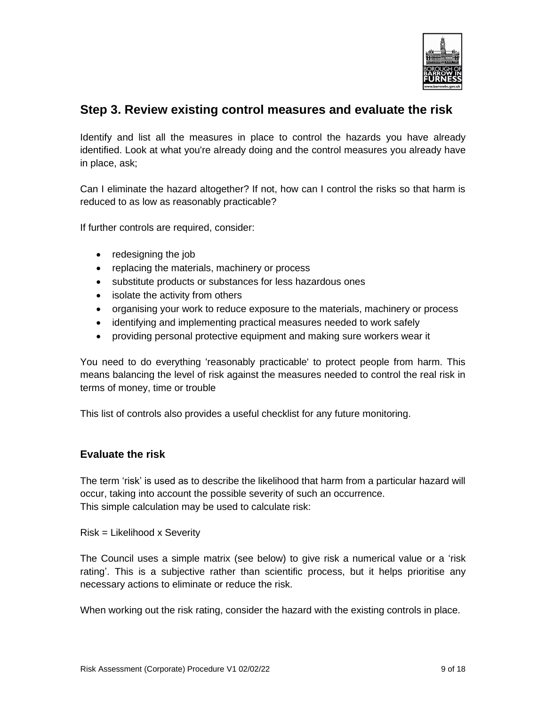

### <span id="page-8-0"></span>**Step 3. Review existing control measures and evaluate the risk**

Identify and list all the measures in place to control the hazards you have already identified. Look at what you're already doing and the control measures you already have in place, ask;

Can I eliminate the hazard altogether? If not, how can I control the risks so that harm is reduced to as low as reasonably practicable?

If further controls are required, consider:

- redesigning the job
- replacing the materials, machinery or process
- substitute products or substances for less hazardous ones
- isolate the activity from others
- organising your work to reduce exposure to the materials, machinery or process
- identifying and implementing practical measures needed to work safely
- providing personal protective equipment and making sure workers wear it

You need to do everything 'reasonably practicable' to protect people from harm. This means balancing the level of risk against the measures needed to control the real risk in terms of money, time or trouble

This list of controls also provides a useful checklist for any future monitoring.

#### <span id="page-8-1"></span>**Evaluate the risk**

The term 'risk' is used as to describe the likelihood that harm from a particular hazard will occur, taking into account the possible severity of such an occurrence. This simple calculation may be used to calculate risk:

Risk = Likelihood x Severity

The Council uses a simple matrix (see below) to give risk a numerical value or a 'risk rating'. This is a subjective rather than scientific process, but it helps prioritise any necessary actions to eliminate or reduce the risk.

When working out the risk rating, consider the hazard with the existing controls in place.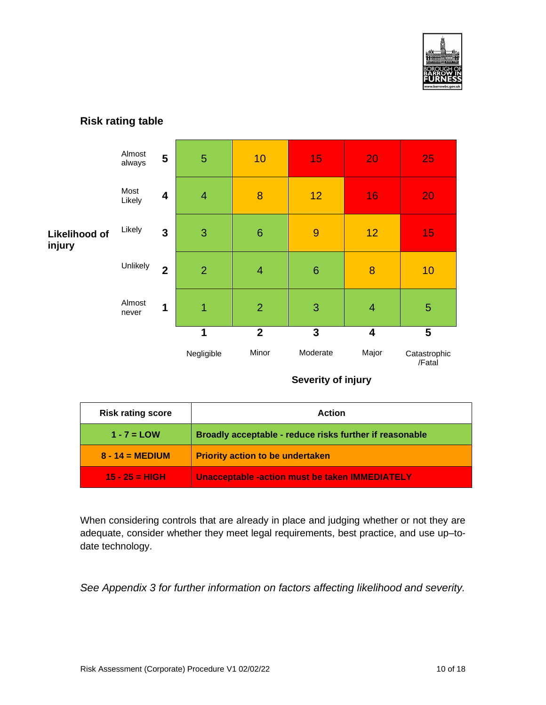

#### <span id="page-9-0"></span>**Risk rating table**

|                                | Almost<br>always | 5                       | 5              | 10              | 15              | 20                      | 25                     |
|--------------------------------|------------------|-------------------------|----------------|-----------------|-----------------|-------------------------|------------------------|
|                                | Most<br>Likely   | $\overline{\mathbf{4}}$ | $\overline{4}$ | 8               | 12              | 16                      | 20                     |
| <b>Likelihood of</b><br>injury | Likely           | $\mathbf{3}$            | 3              | $6\phantom{1}6$ | 9               | 12                      | 15                     |
|                                | Unlikely         | $\overline{2}$          | $\overline{2}$ | $\overline{4}$  | $6\phantom{1}6$ | 8                       | 10                     |
|                                | Almost<br>never  | 1                       | 1              | $\overline{2}$  | 3               | $\overline{4}$          | 5                      |
|                                |                  |                         | 1              | $\overline{2}$  | 3               | $\overline{\mathbf{4}}$ | 5                      |
|                                |                  |                         | Negligible     | Minor           | Moderate        | Major                   | Catastrophic<br>/Fatal |

#### **Severity of injury**

| <b>Risk rating score</b> | Action                                                  |
|--------------------------|---------------------------------------------------------|
| $1 - 7 =$ LOW            | Broadly acceptable - reduce risks further if reasonable |
| $8 - 14 = \text{MEDIUM}$ | <b>Priority action to be undertaken</b>                 |
| $15 - 25 = HIGH$         | <b>Unacceptable -action must be taken IMMEDIATELY</b>   |

When considering controls that are already in place and judging whether or not they are adequate, consider whether they meet legal requirements, best practice, and use up–todate technology.

*See Appendix 3 for further information on factors affecting likelihood and severity.*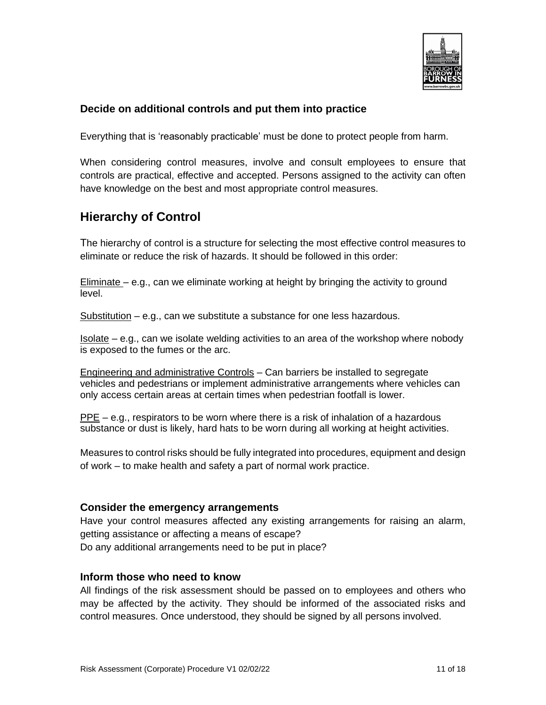

#### <span id="page-10-0"></span>**Decide on additional controls and put them into practice**

Everything that is 'reasonably practicable' must be done to protect people from harm.

When considering control measures, involve and consult employees to ensure that controls are practical, effective and accepted. Persons assigned to the activity can often have knowledge on the best and most appropriate control measures.

## <span id="page-10-1"></span>**Hierarchy of Control**

The hierarchy of control is a structure for selecting the most effective control measures to eliminate or reduce the risk of hazards. It should be followed in this order:

Eliminate – e.g., can we eliminate working at height by bringing the activity to ground level.

Substitution – e.g., can we substitute a substance for one less hazardous.

Isolate – e.g., can we isolate welding activities to an area of the workshop where nobody is exposed to the fumes or the arc.

Engineering and administrative Controls – Can barriers be installed to segregate vehicles and pedestrians or implement administrative arrangements where vehicles can only access certain areas at certain times when pedestrian footfall is lower.

PPE – e.g., respirators to be worn where there is a risk of inhalation of a hazardous substance or dust is likely, hard hats to be worn during all working at height activities.

Measures to control risks should be fully integrated into procedures, equipment and design of work – to make health and safety a part of normal work practice.

#### <span id="page-10-2"></span>**Consider the emergency arrangements**

Have your control measures affected any existing arrangements for raising an alarm, getting assistance or affecting a means of escape? Do any additional arrangements need to be put in place?

#### <span id="page-10-3"></span>**Inform those who need to know**

All findings of the risk assessment should be passed on to employees and others who may be affected by the activity. They should be informed of the associated risks and control measures. Once understood, they should be signed by all persons involved.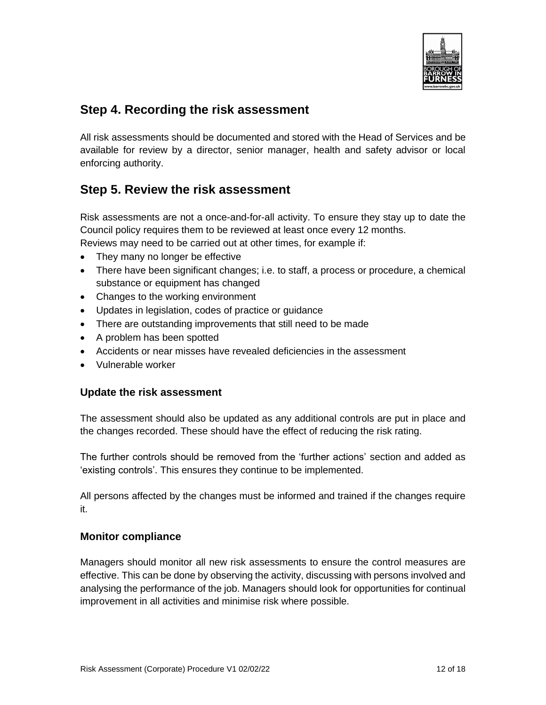

### <span id="page-11-0"></span>**Step 4. Recording the risk assessment**

All risk assessments should be documented and stored with the Head of Services and be available for review by a director, senior manager, health and safety advisor or local enforcing authority.

### <span id="page-11-1"></span>**Step 5. Review the risk assessment**

Risk assessments are not a once-and-for-all activity. To ensure they stay up to date the Council policy requires them to be reviewed at least once every 12 months. Reviews may need to be carried out at other times, for example if:

- They many no longer be effective
- There have been significant changes; i.e. to staff, a process or procedure, a chemical substance or equipment has changed
- Changes to the working environment
- Updates in legislation, codes of practice or guidance
- There are outstanding improvements that still need to be made
- A problem has been spotted
- Accidents or near misses have revealed deficiencies in the assessment
- Vulnerable worker

#### <span id="page-11-2"></span>**Update the risk assessment**

The assessment should also be updated as any additional controls are put in place and the changes recorded. These should have the effect of reducing the risk rating.

The further controls should be removed from the 'further actions' section and added as 'existing controls'. This ensures they continue to be implemented.

All persons affected by the changes must be informed and trained if the changes require it.

#### <span id="page-11-3"></span>**Monitor compliance**

Managers should monitor all new risk assessments to ensure the control measures are effective. This can be done by observing the activity, discussing with persons involved and analysing the performance of the job. Managers should look for opportunities for continual improvement in all activities and minimise risk where possible.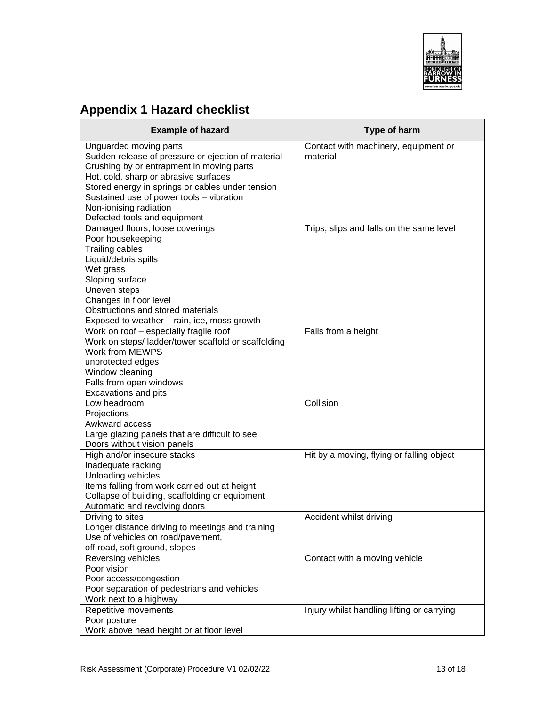

# <span id="page-12-0"></span>**Appendix 1 Hazard checklist**

| <b>Example of hazard</b>                                                                                                                                                                                                                                                                                                     | Type of harm                                     |
|------------------------------------------------------------------------------------------------------------------------------------------------------------------------------------------------------------------------------------------------------------------------------------------------------------------------------|--------------------------------------------------|
| Unguarded moving parts<br>Sudden release of pressure or ejection of material<br>Crushing by or entrapment in moving parts<br>Hot, cold, sharp or abrasive surfaces<br>Stored energy in springs or cables under tension<br>Sustained use of power tools - vibration<br>Non-ionising radiation<br>Defected tools and equipment | Contact with machinery, equipment or<br>material |
| Damaged floors, loose coverings<br>Poor housekeeping<br><b>Trailing cables</b><br>Liquid/debris spills<br>Wet grass<br>Sloping surface<br>Uneven steps<br>Changes in floor level<br>Obstructions and stored materials<br>Exposed to weather - rain, ice, moss growth                                                         | Trips, slips and falls on the same level         |
| Work on roof - especially fragile roof<br>Work on steps/ ladder/tower scaffold or scaffolding<br>Work from MEWPS<br>unprotected edges<br>Window cleaning<br>Falls from open windows<br><b>Excavations and pits</b>                                                                                                           | Falls from a height                              |
| Low headroom<br>Projections<br>Awkward access<br>Large glazing panels that are difficult to see<br>Doors without vision panels                                                                                                                                                                                               | Collision                                        |
| High and/or insecure stacks<br>Inadequate racking<br>Unloading vehicles<br>Items falling from work carried out at height<br>Collapse of building, scaffolding or equipment<br>Automatic and revolving doors                                                                                                                  | Hit by a moving, flying or falling object        |
| Driving to sites<br>Longer distance driving to meetings and training<br>Use of vehicles on road/pavement,<br>off road, soft ground, slopes                                                                                                                                                                                   | Accident whilst driving                          |
| Reversing vehicles<br>Poor vision<br>Poor access/congestion<br>Poor separation of pedestrians and vehicles<br>Work next to a highway                                                                                                                                                                                         | Contact with a moving vehicle                    |
| Repetitive movements<br>Poor posture<br>Work above head height or at floor level                                                                                                                                                                                                                                             | Injury whilst handling lifting or carrying       |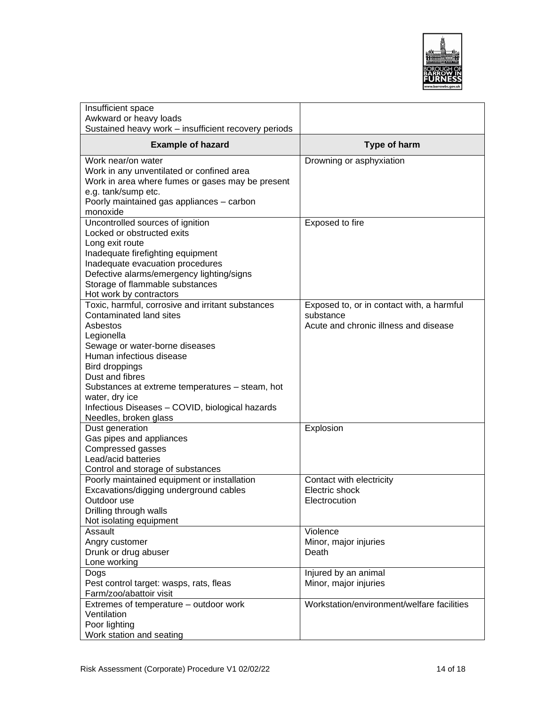

| Insufficient space<br>Awkward or heavy loads<br>Sustained heavy work - insufficient recovery periods                                                                                                                                                                                                                                                       |                                                                                                 |
|------------------------------------------------------------------------------------------------------------------------------------------------------------------------------------------------------------------------------------------------------------------------------------------------------------------------------------------------------------|-------------------------------------------------------------------------------------------------|
| <b>Example of hazard</b>                                                                                                                                                                                                                                                                                                                                   | Type of harm                                                                                    |
| Work near/on water<br>Work in any unventilated or confined area<br>Work in area where fumes or gases may be present<br>e.g. tank/sump etc.<br>Poorly maintained gas appliances - carbon<br>monoxide                                                                                                                                                        | Drowning or asphyxiation                                                                        |
| Uncontrolled sources of ignition<br>Locked or obstructed exits<br>Long exit route<br>Inadequate firefighting equipment<br>Inadequate evacuation procedures<br>Defective alarms/emergency lighting/signs<br>Storage of flammable substances<br>Hot work by contractors                                                                                      | Exposed to fire                                                                                 |
| Toxic, harmful, corrosive and irritant substances<br>Contaminated land sites<br>Asbestos<br>Legionella<br>Sewage or water-borne diseases<br>Human infectious disease<br>Bird droppings<br>Dust and fibres<br>Substances at extreme temperatures - steam, hot<br>water, dry ice<br>Infectious Diseases - COVID, biological hazards<br>Needles, broken glass | Exposed to, or in contact with, a harmful<br>substance<br>Acute and chronic illness and disease |
| Dust generation<br>Gas pipes and appliances<br>Compressed gasses<br>Lead/acid batteries<br>Control and storage of substances                                                                                                                                                                                                                               | Explosion                                                                                       |
| Poorly maintained equipment or installation<br>Excavations/digging underground cables<br>Outdoor use<br>Drilling through walls<br>Not isolating equipment                                                                                                                                                                                                  | Contact with electricity<br>Electric shock<br>Electrocution                                     |
| Assault<br>Angry customer<br>Drunk or drug abuser<br>Lone working                                                                                                                                                                                                                                                                                          | Violence<br>Minor, major injuries<br>Death                                                      |
| Dogs<br>Pest control target: wasps, rats, fleas<br>Farm/zoo/abattoir visit                                                                                                                                                                                                                                                                                 | Injured by an animal<br>Minor, major injuries                                                   |
| Extremes of temperature - outdoor work<br>Ventilation<br>Poor lighting<br>Work station and seating                                                                                                                                                                                                                                                         | Workstation/environment/welfare facilities                                                      |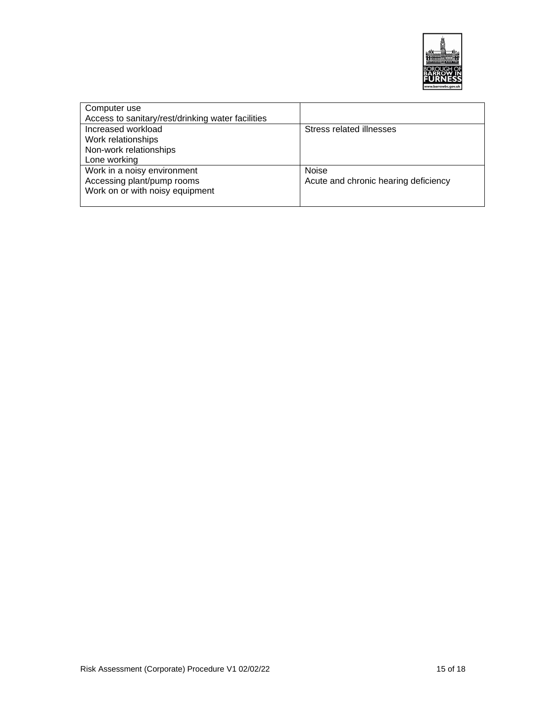

| Computer use                                      |                                      |
|---------------------------------------------------|--------------------------------------|
| Access to sanitary/rest/drinking water facilities |                                      |
| Increased workload                                | Stress related illnesses             |
| Work relationships                                |                                      |
| Non-work relationships                            |                                      |
| Lone working                                      |                                      |
| Work in a noisy environment                       | <b>Noise</b>                         |
| Accessing plant/pump rooms                        | Acute and chronic hearing deficiency |
| Work on or with noisy equipment                   |                                      |
|                                                   |                                      |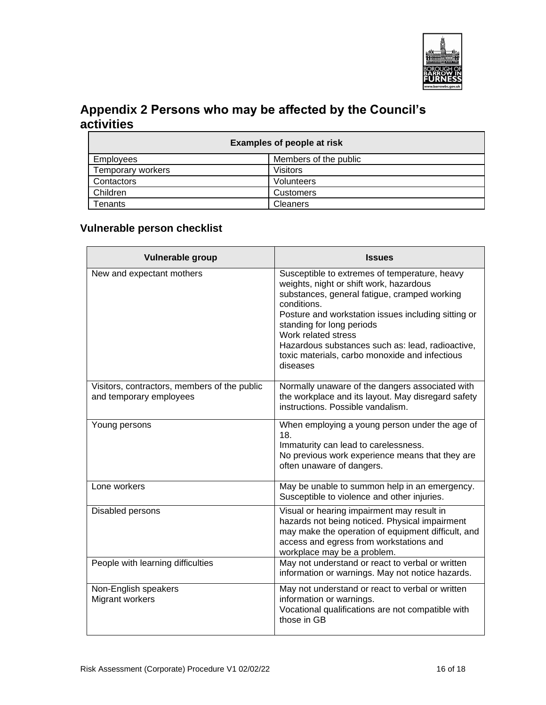

# <span id="page-15-0"></span>**Appendix 2 Persons who may be affected by the Council's activities**

| <b>Examples of people at risk</b> |                       |  |
|-----------------------------------|-----------------------|--|
| Employees                         | Members of the public |  |
| Temporary workers                 | Visitors              |  |
| Contactors                        | Volunteers            |  |
| Children                          | <b>Customers</b>      |  |
| Tenants                           | <b>Cleaners</b>       |  |

### <span id="page-15-1"></span>**Vulnerable person checklist**

| <b>Vulnerable group</b>                                                 | <b>Issues</b>                                                                                                                                                                                                                                                                                                                                                                        |
|-------------------------------------------------------------------------|--------------------------------------------------------------------------------------------------------------------------------------------------------------------------------------------------------------------------------------------------------------------------------------------------------------------------------------------------------------------------------------|
| New and expectant mothers                                               | Susceptible to extremes of temperature, heavy<br>weights, night or shift work, hazardous<br>substances, general fatigue, cramped working<br>conditions.<br>Posture and workstation issues including sitting or<br>standing for long periods<br>Work related stress<br>Hazardous substances such as: lead, radioactive,<br>toxic materials, carbo monoxide and infectious<br>diseases |
| Visitors, contractors, members of the public<br>and temporary employees | Normally unaware of the dangers associated with<br>the workplace and its layout. May disregard safety<br>instructions. Possible vandalism.                                                                                                                                                                                                                                           |
| Young persons                                                           | When employing a young person under the age of<br>18.<br>Immaturity can lead to carelessness.<br>No previous work experience means that they are<br>often unaware of dangers.                                                                                                                                                                                                        |
| Lone workers                                                            | May be unable to summon help in an emergency.<br>Susceptible to violence and other injuries.                                                                                                                                                                                                                                                                                         |
| Disabled persons                                                        | Visual or hearing impairment may result in<br>hazards not being noticed. Physical impairment<br>may make the operation of equipment difficult, and<br>access and egress from workstations and<br>workplace may be a problem.                                                                                                                                                         |
| People with learning difficulties                                       | May not understand or react to verbal or written<br>information or warnings. May not notice hazards.                                                                                                                                                                                                                                                                                 |
| Non-English speakers<br>Migrant workers                                 | May not understand or react to verbal or written<br>information or warnings.<br>Vocational qualifications are not compatible with<br>those in GB                                                                                                                                                                                                                                     |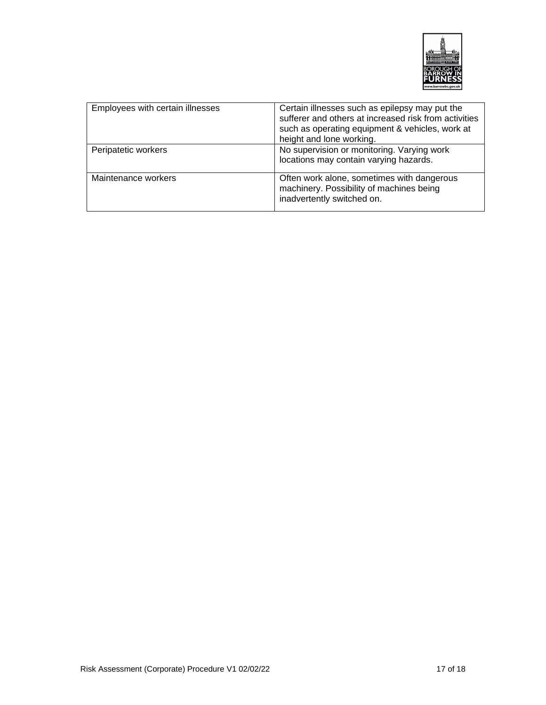

| Employees with certain illnesses | Certain illnesses such as epilepsy may put the<br>sufferer and others at increased risk from activities<br>such as operating equipment & vehicles, work at<br>height and lone working. |
|----------------------------------|----------------------------------------------------------------------------------------------------------------------------------------------------------------------------------------|
| Peripatetic workers              | No supervision or monitoring. Varying work<br>locations may contain varying hazards.                                                                                                   |
| Maintenance workers              | Often work alone, sometimes with dangerous<br>machinery. Possibility of machines being<br>inadvertently switched on.                                                                   |